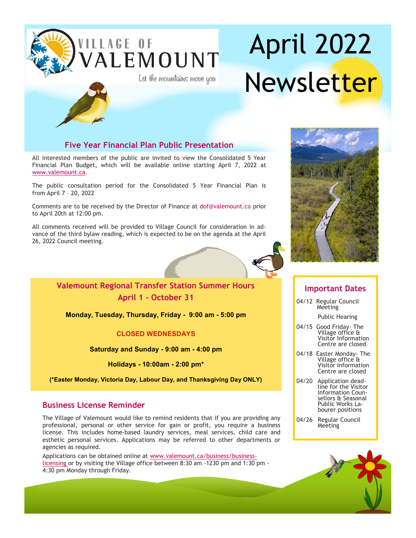

# April 2022 Newsletter



### **Five Year Financial Plan Public Presentation**

All interested members of the public are invited to view the Consolidated 5 Year Financial Plan Budget, which will be available online starting April 7, 2022 at [www.valemount.ca.](http://www.valemount.ca)

The public consultation period for the Consolidated 5 Year Financial Plan is from April 7 – 20, 2022

Comments are to be received by the Director of Finance at [dof@valemount.ca](mailto:dof@valemount.ca) prior to April 20th at 12:00 pm.

All comments received will be provided to Village Council for consideration in advance of the third bylaw reading, which is expected to be on the agenda at the April 26, 2022 Council meeting.



## **Valemount Regional Transfer Station Summer Hours April 1 - October 31**

**Monday, Tuesday, Thursday, Friday - 9:00 am - 5:00 pm**

### **CLOSED WEDNESDAYS**

**Saturday and Sunday - 9:00 am - 4:00 pm**

**Holidays - 10:00am - 2:00 pm\***

**(\*Easter Monday, Victoria Day, Labour Day, and Thanksgiving Day ONLY)**

## **Business License Reminder**

The Village of Valemount would like to remind residents that if you are providing any professional, personal or other service for gain or profit, you require a business license. This includes home-based laundry services, meal services, child care and esthetic personal services. Applications may be referred to other departments or agencies as required.

Applications can be obtained online at www.valemount.ca/business/businesslicensing or by visiting the Village office between 8:30 am -1230 pm and 1:30 pm - 4:30 pm Monday through Friday.



### **Important Dates**

04/12 Regular Council **Meeting** 

Public Hearing

- 04/15 Good Friday- The Village office & Visitor Information Centre are closed
- 04/18 Easter Monday- The Village office & Visitor Information Centre are closed
- 04/20 Application deadline for the Visitor Information Counsellors & Seasonal Public Works Labourer positions
- 04/26 Regular Council **Meeting**